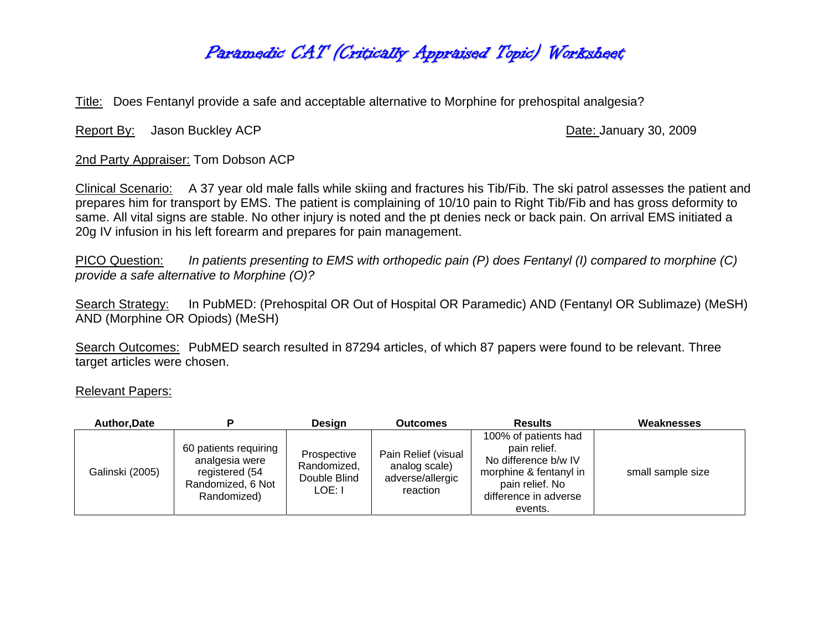## Paramedic CAT (Critically Appraised Topic) Worksheet

Title: Does Fentanyl provide a safe and acceptable alternative to Morphine for prehospital analgesia?

Report By: Jason Buckley ACP **Date: January 30, 2009** 

2nd Party Appraiser: Tom Dobson ACP

Clinical Scenario: A 37 year old male falls while skiing and fractures his Tib/Fib. The ski patrol assesses the patient and prepares him for transport by EMS. The patient is complaining of 10/10 pain to Right Tib/Fib and has gross deformity to same. All vital signs are stable. No other injury is noted and the pt denies neck or back pain. On arrival EMS initiated a 20g IV infusion in his left forearm and prepares for pain management.

PICO Question: *In patients presenting to EMS with orthopedic pain (P) does Fentanyl (I) compared to morphine (C) provide a safe alternative to Morphine (O)?* 

Search Strategy: In PubMED: (Prehospital OR Out of Hospital OR Paramedic) AND (Fentanyl OR Sublimaze) (MeSH) AND (Morphine OR Opiods) (MeSH)

Search Outcomes: PubMED search resulted in 87294 articles, of which 87 papers were found to be relevant. Three target articles were chosen.

Relevant Papers:

| Author, Date    |                                                                                               | Desian                                               | <b>Outcomes</b>                                                      | <b>Results</b>                                                                                                                                | Weaknesses        |
|-----------------|-----------------------------------------------------------------------------------------------|------------------------------------------------------|----------------------------------------------------------------------|-----------------------------------------------------------------------------------------------------------------------------------------------|-------------------|
| Galinski (2005) | 60 patients requiring<br>analgesia were<br>registered (54<br>Randomized, 6 Not<br>Randomized) | Prospective<br>Randomized,<br>Double Blind<br>LOE: I | Pain Relief (visual<br>analog scale)<br>adverse/allergic<br>reaction | 100% of patients had<br>pain relief.<br>No difference b/w IV<br>morphine & fentanyl in<br>pain relief. No<br>difference in adverse<br>events. | small sample size |